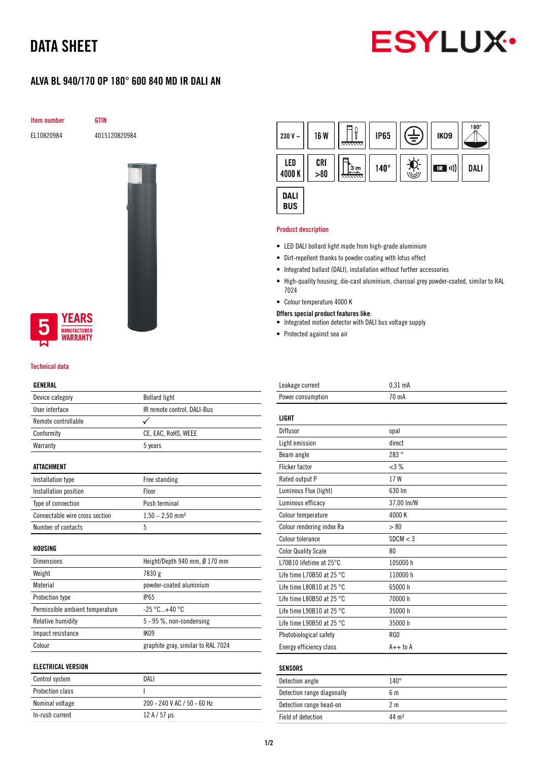# DATA SHEET



# ALVA BL 940/170 OP 180° 600 840 MD IR DALI AN

Item number GTIN

EL10820984 4015120820984



## **YEARS IUFACTURER** *NARRANTY*

#### Technical data

### GENERAL

| Device category                 | <b>Bollard light</b>               |
|---------------------------------|------------------------------------|
| User interface                  | IR remote control, DALI-Bus        |
| Remote controllable             |                                    |
| Conformity                      | CE, EAC, RoHS, WEEE                |
| Warranty                        | 5 years                            |
|                                 |                                    |
| <b>ATTACHMENT</b>               |                                    |
| Installation type               | Free standing                      |
| Installation position           | Floor                              |
| Type of connection              | Push terminal                      |
| Connectable wire cross section  | $1,50 - 2,50$ mm <sup>2</sup>      |
| Number of contacts              | 5                                  |
|                                 |                                    |
| HOUSING                         |                                    |
| <b>Dimensions</b>               | Height/Depth 940 mm, Ø 170 mm      |
| Weight                          | 7830 g                             |
| Material                        | powder-coated aluminium            |
| Protection type                 | <b>IP65</b>                        |
| Permissible ambient temperature | $-25 °C+40 °C$                     |
| Relative humidity               | 5 - 95 %, non-condensing           |
| Impact resistance               | IK09                               |
| Colour                          | graphite gray, similar to RAL 7024 |
|                                 |                                    |
| <b>ELECTRICAL VERSION</b>       |                                    |
| Control system                  | DALI                               |
| <b>Protection class</b>         | I                                  |

Nominal voltage 200 - 240 V AC / 50 - 60 Hz

In-rush current  $12 A / 57 \mu s$ 



#### Product description

- LED DALI bollard light made from high-grade aluminium
- Dirt-repellent thanks to powder coating with lotus effect
- Integrated ballast (DALI), installation without further accessories
- High-quality housing, die-cast aluminium, charcoal grey powder-coated, similar to RAL 7024
- Colour temperature 4000 K
- Offers special product features like:
- Integrated motion detector with DALI bus voltage supply
- Protected against sea air

| Leakage current                     | $0,31$ mA      |
|-------------------------------------|----------------|
| Power consumption                   | 70 mA          |
|                                     |                |
| <b>LIGHT</b>                        |                |
| Diffusor                            | opal           |
| Light emission                      | direct         |
| Beam angle                          | 283°           |
| <b>Flicker factor</b>               | <3%            |
| Rated output P                      | 17W            |
| Luminous Flux (light)               | 630 Im         |
| Luminous efficacy                   | 37,00 lm/W     |
| Colour temperature                  | 4000 K         |
| Colour rendering index Ra           | > 80           |
| Colour tolerance                    | SDCM < 3       |
| <b>Color Quality Scale</b>          | 80             |
| L70B10 lifetime at 25°C             | 105000h        |
| Life time L70B50 at 25 $^{\circ}$ C | 110000 h       |
| Life time L80B10 at 25 $^{\circ}$ C | 65000 h        |
| Life time L80B50 at 25 $^{\circ}$ C | 70000 h        |
| Life time L90B10 at 25 °C           | 35000h         |
| Life time L90B50 at 25 $^{\circ}$ C | 35000 h        |
| Photobiological safety              | RG0            |
| Energy efficiency class             | $A++$ to $A$   |
|                                     |                |
| <b>SENSORS</b>                      |                |
| Detection angle                     | $140^\circ$    |
| Detection range diagonally          | 6 <sub>m</sub> |
| Detection range head-on             | 2 <sub>m</sub> |

Field of detection 44 m<sup>2</sup>